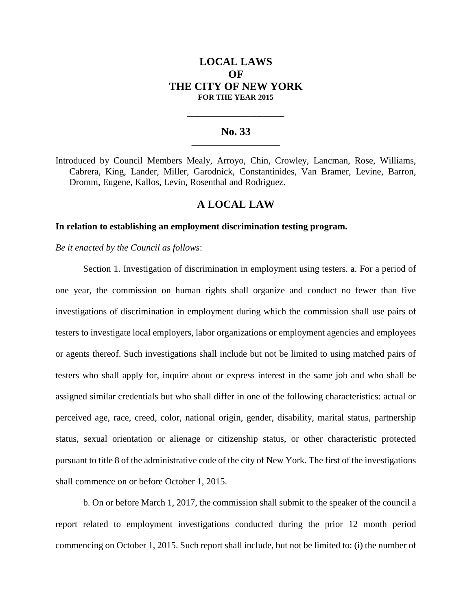# **LOCAL LAWS**  $\Omega$ **F THE CITY OF NEW YORK FOR THE YEAR 2015**

### **No. 33 \_\_\_\_\_\_\_\_\_\_\_\_\_\_\_\_\_\_\_\_\_\_\_**

**\_\_\_\_\_\_\_\_\_\_\_\_\_\_\_\_\_\_\_\_\_\_\_\_\_\_\_\_**

Introduced by Council Members Mealy, Arroyo, Chin, Crowley, Lancman, Rose, Williams, Cabrera, King, Lander, Miller, Garodnick, Constantinides, Van Bramer, Levine, Barron, Dromm, Eugene, Kallos, Levin, Rosenthal and Rodriguez.

## **A LOCAL LAW**

### **In relation to establishing an employment discrimination testing program.**

*Be it enacted by the Council as follows*:

Section 1. Investigation of discrimination in employment using testers. a. For a period of one year, the commission on human rights shall organize and conduct no fewer than five investigations of discrimination in employment during which the commission shall use pairs of testers to investigate local employers, labor organizations or employment agencies and employees or agents thereof. Such investigations shall include but not be limited to using matched pairs of testers who shall apply for, inquire about or express interest in the same job and who shall be assigned similar credentials but who shall differ in one of the following characteristics: actual or perceived age, race, creed, color, national origin, gender, disability, marital status, partnership status, sexual orientation or alienage or citizenship status, or other characteristic protected pursuant to title 8 of the administrative code of the city of New York. The first of the investigations shall commence on or before October 1, 2015.

b. On or before March 1, 2017, the commission shall submit to the speaker of the council a report related to employment investigations conducted during the prior 12 month period commencing on October 1, 2015. Such report shall include, but not be limited to: (i) the number of